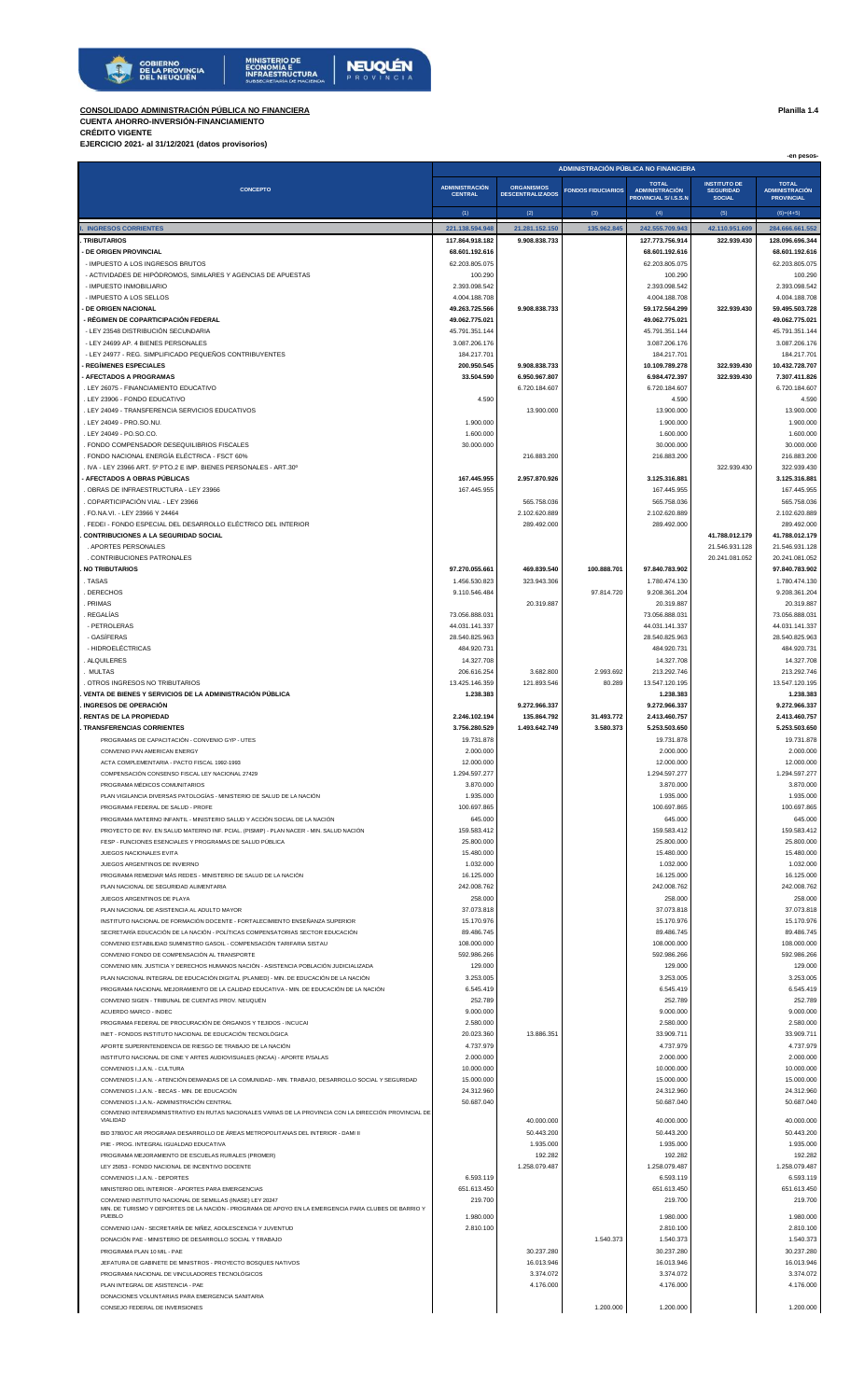

**MINISTERIO DE<br>ECONOMÍA E<br>INFRAESTRUCTURA**<br>SUBSECRETARÍA DE HACIEND **NEUQUÉN** 

## **CONSOLIDADO ADMINISTRACIÓN PÚBLICA NO FINANCIERA Planilla 1.4**

**CUENTA AHORRO-INVERSIÓN-FINANCIAMIENTO CRÉDITO VIGENTE**

**EJERCICIO 2021- al 31/12/2021 (datos provisorios)**

|                                                                                                                                                                                 |                                         |                                              |                                      |                                       |                                         | -en pesos-                            |
|---------------------------------------------------------------------------------------------------------------------------------------------------------------------------------|-----------------------------------------|----------------------------------------------|--------------------------------------|---------------------------------------|-----------------------------------------|---------------------------------------|
|                                                                                                                                                                                 |                                         |                                              | ADMINISTRACIÓN PÚBLICA NO FINANCIERA |                                       |                                         |                                       |
| <b>CONCEPTO</b>                                                                                                                                                                 | <b>ADMINISTRACIÓN</b><br><b>CENTRAL</b> | <b>ORGANISMOS</b><br><b>DESCENTRALIZADOS</b> | <b>FONDOS FIDUCIARIOS</b>            | <b>TOTAL</b><br><b>ADMINISTRACIÓN</b> | <b>INSTITUTO DE</b><br><b>SEGURIDAD</b> | <b>TOTAL</b><br><b>ADMINISTRACIÓN</b> |
|                                                                                                                                                                                 |                                         |                                              |                                      | PROVINCIAL S/ I.S.S.N                 | <b>SOCIAL</b>                           | <b>PROVINCIAL</b>                     |
|                                                                                                                                                                                 | (1)                                     | (2)                                          | (3)                                  | (4)                                   | (5)                                     | $(6)=(4+5)$                           |
| I. INGRESOS CORRIENTES<br><b>TRIBUTARIOS</b>                                                                                                                                    | 221.138.594.948<br>117.864.918.182      | 21.281.152.150<br>9.908.838.733              | 135.962.845                          | 242.555.709.943<br>127.773.756.914    | 42.110.951.609<br>322.939.430           | 284.666.661.552<br>128.096.696.344    |
| - DE ORIGEN PROVINCIAL                                                                                                                                                          | 68.601.192.616                          |                                              |                                      | 68.601.192.616                        |                                         | 68.601.192.616                        |
| - IMPUESTO A LOS INGRESOS BRUTOS                                                                                                                                                | 62.203.805.075                          |                                              |                                      | 62.203.805.075                        |                                         | 62.203.805.075                        |
| - ACTIVIDADES DE HIPÓDROMOS, SIMILARES Y AGENCIAS DE APUESTAS<br>- IMPUESTO INMOBILIARIO                                                                                        | 100.290<br>2.393.098.542                |                                              |                                      | 100.290<br>2.393.098.542              |                                         | 100.290<br>2.393.098.542              |
| - IMPUESTO A LOS SELLOS                                                                                                                                                         | 4.004.188.708                           |                                              |                                      | 4.004.188.708                         |                                         | 4.004.188.708                         |
| DE ORIGEN NACIONAL                                                                                                                                                              | 49.263.725.566                          | 9.908.838.733                                |                                      | 59.172.564.299                        | 322.939.430                             | 59.495.503.728                        |
| - RÉGIMEN DE COPARTICIPACIÓN FEDERAL<br>- LEY 23548 DISTRIBUCIÓN SECUNDARIA                                                                                                     | 49.062.775.021<br>45.791.351.144        |                                              |                                      | 49.062.775.021<br>45.791.351.144      |                                         | 49.062.775.021<br>45.791.351.144      |
| - LEY 24699 AP. 4 BIENES PERSONALES                                                                                                                                             | 3.087.206.176                           |                                              |                                      | 3.087.206.176                         |                                         | 3.087.206.176                         |
| - LEY 24977 - REG. SIMPLIFICADO PEQUEÑOS CONTRIBUYENTES                                                                                                                         | 184.217.701                             |                                              |                                      | 184.217.701                           |                                         | 184.217.701                           |
| <b>REGÍMENES ESPECIALES</b><br><b>AFECTADOS A PROGRAMAS</b>                                                                                                                     | 200.950.545<br>33.504.590               | 9.908.838.733<br>6.950.967.807               |                                      | 10.109.789.278<br>6.984.472.397       | 322.939.430<br>322.939.430              | 10.432.728.707<br>7.307.411.826       |
| LEY 26075 - FINANCIAMIENTO EDUCATIVO                                                                                                                                            |                                         | 6.720.184.607                                |                                      | 6.720.184.607                         |                                         | 6.720.184.607                         |
| LEY 23906 - FONDO EDUCATIVO                                                                                                                                                     | 4.590                                   |                                              |                                      | 4.590                                 |                                         | 4.590                                 |
| LEY 24049 - TRANSFERENCIA SERVICIOS EDUCATIVOS<br>LEY 24049 - PRO.SO.NU                                                                                                         | 1.900.000                               | 13.900.000                                   |                                      | 13.900.000<br>1.900.000               |                                         | 13.900.000<br>1.900.000               |
| LEY 24049 - PO.SO.CO.                                                                                                                                                           | 1.600.000                               |                                              |                                      | 1.600.000                             |                                         | 1.600.000                             |
| FONDO COMPENSADOR DESEQUILIBRIOS FISCALES                                                                                                                                       | 30.000.000                              |                                              |                                      | 30.000.000                            |                                         | 30.000.000                            |
| FONDO NACIONAL ENERGÍA ELÉCTRICA - FSCT 60%<br>IVA - LEY 23966 ART. 5º PTO.2 E IMP. BIENES PERSONALES - ART.30º                                                                 |                                         | 216.883.200                                  |                                      | 216.883.200                           | 322.939.430                             | 216.883.200<br>322.939.430            |
| · AFECTADOS A OBRAS PÚBLICAS                                                                                                                                                    | 167.445.955                             | 2.957.870.926                                |                                      | 3.125.316.881                         |                                         | 3.125.316.881                         |
| OBRAS DE INFRAESTRUCTURA - LEY 23966                                                                                                                                            | 167.445.955                             |                                              |                                      | 167.445.955                           |                                         | 167.445.955                           |
| . COPARTICIPACIÓN VIAL - LEY 23966<br>FO.NA.VI. - LEY 23966 Y 24464                                                                                                             |                                         | 565.758.036<br>2.102.620.889                 |                                      | 565.758.036<br>2.102.620.889          |                                         | 565.758.036<br>2.102.620.889          |
| FEDEI - FONDO ESPECIAL DEL DESARROLLO ELÉCTRICO DEL INTERIOR                                                                                                                    |                                         | 289.492.000                                  |                                      | 289.492.000                           |                                         | 289.492.000                           |
| <b>CONTRIBUCIONES A LA SEGURIDAD SOCIAL</b>                                                                                                                                     |                                         |                                              |                                      |                                       | 41.788.012.179                          | 41.788.012.179                        |
| . APORTES PERSONALES<br>. CONTRIBUCIONES PATRONALES                                                                                                                             |                                         |                                              |                                      |                                       | 21.546.931.128<br>20.241.081.052        | 21.546.931.128<br>20.241.081.052      |
| <b>NO TRIBUTARIOS</b>                                                                                                                                                           | 97.270.055.661                          | 469.839.540                                  | 100.888.701                          | 97.840.783.902                        |                                         | 97.840.783.902                        |
| TASAS                                                                                                                                                                           | 1.456.530.823                           | 323.943.306                                  |                                      | 1.780.474.130                         |                                         | 1.780.474.130                         |
| DERECHOS<br>PRIMAS                                                                                                                                                              | 9.110.546.484                           | 20.319.887                                   | 97.814.720                           | 9.208.361.204<br>20.319.887           |                                         | 9.208.361.204<br>20.319.887           |
| . REGALÍAS                                                                                                                                                                      | 73.056.888.031                          |                                              |                                      | 73.056.888.031                        |                                         | 73.056.888.031                        |
| - PETROLERAS                                                                                                                                                                    | 44.031.141.337                          |                                              |                                      | 44.031.141.337                        |                                         | 44.031.141.337                        |
| - GASÍFERAS                                                                                                                                                                     | 28.540.825.963                          |                                              |                                      | 28.540.825.963                        |                                         | 28.540.825.963                        |
| - HIDROELÉCTRICAS<br>. ALQUILERES                                                                                                                                               | 484.920.731<br>14.327.708               |                                              |                                      | 484.920.731<br>14.327.708             |                                         | 484.920.731<br>14.327.708             |
| <b>MULTAS</b>                                                                                                                                                                   | 206.616.254                             | 3.682.800                                    | 2.993.692                            | 213.292.746                           |                                         | 213.292.746                           |
| . OTROS INGRESOS NO TRIBUTARIOS                                                                                                                                                 | 13.425.146.359                          | 121.893.546                                  | 80.289                               | 13.547.120.195                        |                                         | 13.547.120.195                        |
| VENTA DE BIENES Y SERVICIOS DE LA ADMINISTRACIÓN PÚBLICA<br><b>INGRESOS DE OPERACIÓN</b>                                                                                        | 1.238.383                               | 9.272.966.337                                |                                      | 1.238.383<br>9.272.966.337            |                                         | 1.238.383<br>9.272.966.337            |
| <b>RENTAS DE LA PROPIEDAD</b>                                                                                                                                                   | 2.246.102.194                           | 135.864.792                                  | 31.493.772                           | 2.413.460.757                         |                                         | 2.413.460.757                         |
| . TRANSFERENCIAS CORRIENTES                                                                                                                                                     | 3.756.280.529                           | 1.493.642.749                                | 3.580.373                            | 5.253.503.650                         |                                         | 5.253.503.650<br>19,731,878           |
| PROGRAMAS DE CAPACITACIÓN - CONVENIO GYP - UTES<br>CONVENIO PAN AMERICAN ENERGY                                                                                                 | 19.731.878<br>2.000.000                 |                                              |                                      | 19.731.878<br>2.000.000               |                                         | 2.000.000                             |
| ACTA COMPLEMENTARIA - PACTO FISCAL 1992-1993                                                                                                                                    | 12.000.000                              |                                              |                                      | 12.000.000                            |                                         | 12.000.000                            |
| COMPENSACIÓN CONSENSO FISCAL LEY NACIONAL 27429                                                                                                                                 | 1.294.597.277                           |                                              |                                      | 1.294.597.277                         |                                         | 1.294.597.277                         |
| PROGRAMA MÉDICOS COMUNITARIOS<br>PLAN VIGILANCIA DIVERSAS PATOLOGÍAS - MINISTERIO DE SALUD DE LA NACIÓN                                                                         | 3.870.000<br>1.935.000                  |                                              |                                      | 3.870.000<br>1.935.000                |                                         | 3.870.000<br>1.935.000                |
| PROGRAMA FEDERAL DE SALUD - PROFE                                                                                                                                               | 100.697.865                             |                                              |                                      | 100.697.865                           |                                         | 100.697.865                           |
| PROGRAMA MATERNO INFANTIL - MINISTERIO SALUD Y ACCIÓN SOCIAL DE LA NACIÓN                                                                                                       | 645.000                                 |                                              |                                      | 645.000                               |                                         | 645.000                               |
| PROYECTO DE INV. EN SALUD MATERNO INF. PCIAL. (PISMIP) - PLAN NACER - MIN. SALUD NACIÓN<br>FESP - FUNCIONES ESENCIALES Y PROGRAMAS DE SALUD PÚBLICA                             | 159.583.412<br>25.800.000               |                                              |                                      | 159.583.412<br>25.800.000             |                                         | 159.583.412<br>25.800.000             |
| JUEGOS NACIONALES EVITA                                                                                                                                                         | 15.480.000                              |                                              |                                      | 15.480.000                            |                                         | 15.480.000                            |
| JUEGOS ARGENTINOS DE INVIERNO                                                                                                                                                   | 1.032.000<br>16.125.000                 |                                              |                                      | 1.032.000                             |                                         | 1.032.000                             |
| PROGRAMA REMEDIAR MÁS REDES - MINISTERIO DE SALUD DE LA NACIÓN<br>PLAN NACIONAL DE SEGURIDAD ALIMENTARIA                                                                        | 242.008.762                             |                                              |                                      | 16.125.000<br>242.008.762             |                                         | 16.125.000<br>242.008.762             |
| JUEGOS ARGENTINOS DE PLAYA                                                                                                                                                      | 258.000                                 |                                              |                                      | 258.000                               |                                         | 258.000                               |
| PLAN NACIONAL DE ASISTENCIA AL ADULTO MAYOR                                                                                                                                     | 37.073.818<br>15.170.976                |                                              |                                      | 37.073.818                            |                                         | 37.073.818                            |
| INSTITUTO NACIONAL DE FORMACIÓN DOCENTE - FORTALECIMIENTO ENSEÑANZA SUPERIOR<br>SECRETARÍA EDUCACIÓN DE LA NACIÓN - POLÍTICAS COMPENSATORIAS SECTOR EDUCACIÓN                   | 89.486.745                              |                                              |                                      | 15.170.976<br>89.486.745              |                                         | 15.170.976<br>89.486.745              |
| CONVENIO ESTABILIDAD SUMINISTRO GASOIL - COMPENSACIÓN TARIFARIA SISTAU                                                                                                          | 108.000.000                             |                                              |                                      | 108.000.000                           |                                         | 108.000.000                           |
| CONVENIO FONDO DE COMPENSACIÓN AL TRANSPORTE                                                                                                                                    | 592.986.266                             |                                              |                                      | 592.986.266                           |                                         | 592.986.266                           |
| CONVENIO MIN. JUSTICIA Y DERECHOS HUMANOS NACIÓN - ASISTENCIA POBLACIÓN JUDICIALIZADA<br>PLAN NACIONAL INTEGRAL DE EDUCACIÓN DIGITAL (PLANIED) - MIN. DE EDUCACIÓN DE LA NACIÓN | 129.000<br>3.253.005                    |                                              |                                      | 129.000<br>3.253.005                  |                                         | 129.000<br>3.253.005                  |
| PROGRAMA NACIONAL MEJORAMIENTO DE LA CALIDAD EDUCATIVA - MIN. DE EDUCACIÓN DE LA NACIÓN                                                                                         | 6.545.419                               |                                              |                                      | 6.545.419                             |                                         | 6.545.419                             |
| CONVENIO SIGEN - TRIBUNAL DE CUENTAS PROV. NEUQUÉN                                                                                                                              | 252.789                                 |                                              |                                      | 252.789                               |                                         | 252.789                               |
| ACUERDO MARCO - INDEC<br>PROGRAMA FEDERAL DE PROCURACIÓN DE ÓRGANOS Y TEJIDOS - INCUCAI                                                                                         | 9.000.000<br>2.580.000                  |                                              |                                      | 9.000.000<br>2.580.000                |                                         | 9.000.000<br>2.580.000                |
| INET - FONDOS INSTITUTO NACIONAL DE EDUCACIÓN TECNOLÓGICA                                                                                                                       | 20.023.360                              | 13.886.351                                   |                                      | 33.909.711                            |                                         | 33.909.711                            |
| APORTE SUPERINTENDENCIA DE RIESGO DE TRABAJO DE LA NACIÓN                                                                                                                       | 4.737.979                               |                                              |                                      | 4.737.979                             |                                         | 4.737.979                             |
| INSTITUTO NACIONAL DE CINE Y ARTES AUDIOVISUALES (INCAA) - APORTE P/SALAS<br>CONVENIOS I.J.A.N. - CULTURA                                                                       | 2.000.000<br>10.000.000                 |                                              |                                      | 2.000.000<br>10.000.000               |                                         | 2.000.000<br>10.000.000               |
| CONVENIOS I.J.A.N. - ATENCIÓN DEMANDAS DE LA COMUNIDAD - MIN. TRABAJO, DESARROLLO SOCIAL Y SEGURIDAD                                                                            | 15.000.000                              |                                              |                                      | 15.000.000                            |                                         | 15.000.000                            |
| CONVENIOS I.J.A.N. - BECAS - MIN. DE EDUCACIÓN                                                                                                                                  | 24.312.960                              |                                              |                                      | 24.312.960                            |                                         | 24.312.960                            |
| CONVENIOS I.J.A.N.- ADMINISTRACIÓN CENTRAL<br>CONVENIO INTERADMINISTRATIVO EN RUTAS NACIONALES VARIAS DE LA PROVINCIA CON LA DIRECCIÓN PROVINCIAL DE                            | 50.687.040                              |                                              |                                      | 50.687.040                            |                                         | 50.687.040                            |
| VIALIDAD                                                                                                                                                                        |                                         | 40.000.000                                   |                                      | 40.000.000                            |                                         | 40.000.000                            |
| BID 3780/OC AR PROGRAMA DESARROLLO DE ÁREAS METROPOLITANAS DEL INTERIOR - DAMI II<br>PIIE - PROG. INTEGRAL IGUALDAD EDUCATIVA                                                   |                                         | 50.443.200<br>1.935.000                      |                                      | 50.443.200<br>1.935.000               |                                         | 50.443.200<br>1.935.000               |
| PROGRAMA MEJORAMIENTO DE ESCUELAS RURALES (PROMER)                                                                                                                              |                                         | 192.282                                      |                                      | 192.282                               |                                         | 192.282                               |
| LEY 25053 - FONDO NACIONAL DE INCENTIVO DOCENTE                                                                                                                                 |                                         | 1.258.079.487                                |                                      | 1.258.079.487                         |                                         | 1.258.079.487                         |
| CONVENIOS I.J.A.N. - DEPORTES<br>MINISTERIO DEL INTERIOR - APORTES PARA EMERGENCIAS                                                                                             | 6.593.119<br>651.613.450                |                                              |                                      | 6.593.119<br>651.613.450              |                                         | 6.593.119<br>651.613.450              |
| CONVENIO INSTITUTO NACIONAL DE SEMILLAS (INASE) LEY 20247                                                                                                                       | 219.700                                 |                                              |                                      | 219.700                               |                                         | 219.700                               |
| MIN. DE TURISMO Y DEPORTES DE LA NACIÓN - PROGRAMA DE APOYO EN LA EMERGENCIA PARA CLUBES DE BARRIO Y<br>PUEBLO                                                                  | 1.980.000                               |                                              |                                      | 1.980.000                             |                                         | 1.980.000                             |
| CONVENIO IJAN - SECRETARÍA DE NIÑEZ, ADOLESCENCIA Y JUVENTUD                                                                                                                    | 2.810.100                               |                                              |                                      | 2.810.100                             |                                         | 2.810.100                             |
| DONACIÓN PAE - MINISTERIO DE DESARROLLO SOCIAL Y TRABAJO<br>PROGRAMA PLAN 10 MIL - PAE                                                                                          |                                         | 30.237.280                                   | 1.540.373                            | 1.540.373<br>30.237.280               |                                         | 1.540.373<br>30.237.280               |
| JEFATURA DE GABINETE DE MINISTROS - PROYECTO BOSQUES NATIVOS                                                                                                                    |                                         | 16.013.946                                   |                                      | 16.013.946                            |                                         | 16.013.946                            |
| PROGRAMA NACIONAL DE VINCULADORES TECNOLÓGICOS                                                                                                                                  |                                         | 3.374.072                                    |                                      | 3.374.072                             |                                         | 3.374.072                             |
| PLAN INTEGRAL DE ASISTENCIA - PAE<br>DONACIONES VOLUNTARIAS PARA EMERGENCIA SANITARIA                                                                                           |                                         | 4.176.000                                    |                                      | 4.176.000                             |                                         | 4.176.000                             |
| CONSEJO FEDERAL DE INVERSIONES                                                                                                                                                  |                                         |                                              | 1.200.000                            | 1.200.000                             |                                         | 1.200.000                             |
|                                                                                                                                                                                 |                                         |                                              |                                      |                                       |                                         |                                       |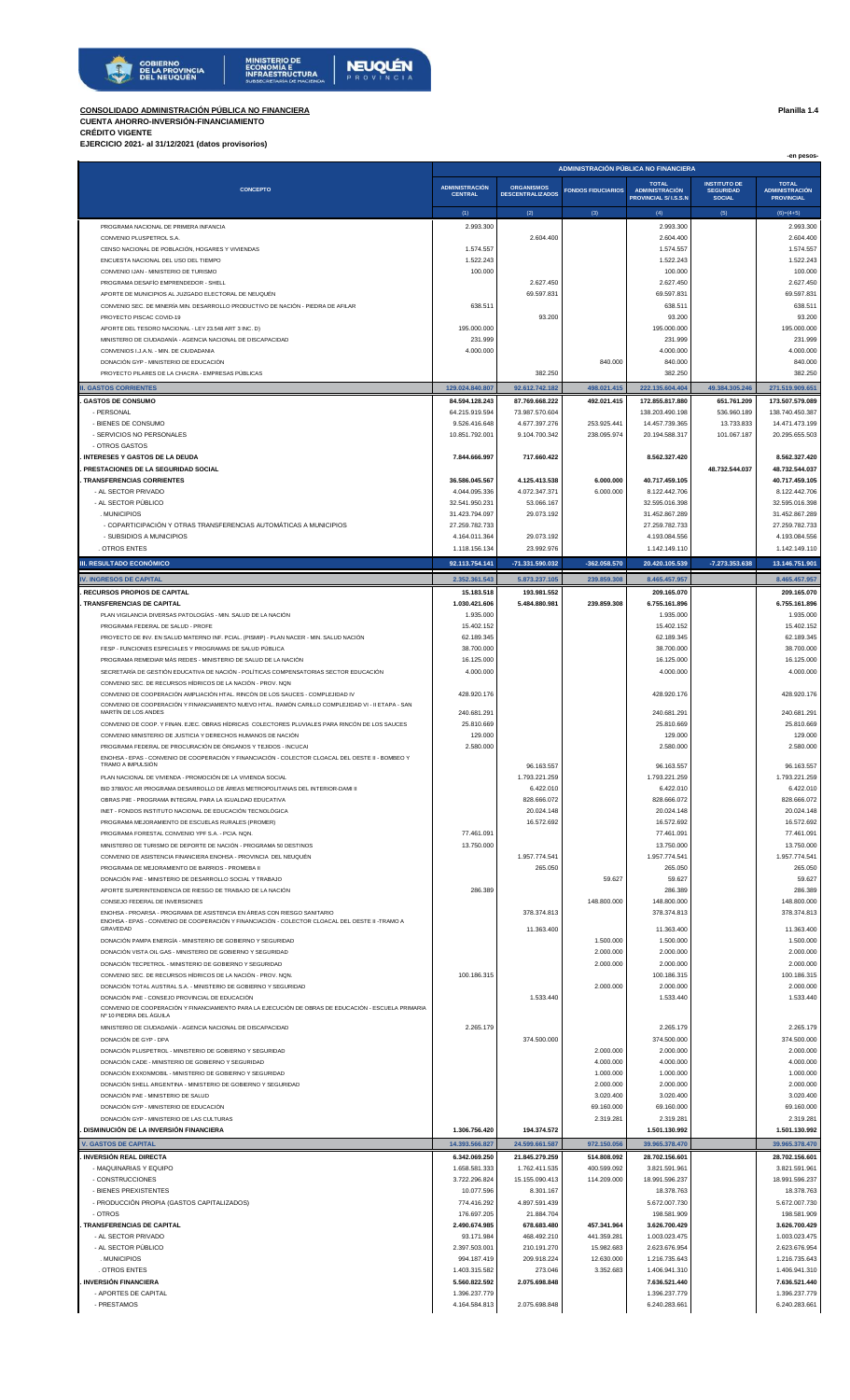



## **CONSOLIDADO ADMINISTRACIÓN PÚBLICA NO FINANCIERA Planilla 1.4**

## **CUENTA AHORRO-INVERSIÓN-FINANCIAMIENTO CRÉDITO VIGENTE**

**EJERCICIO 2021- al 31/12/2021 (datos provisorios)**

|                                                                                                                                                                            | ADMINISTRACIÓN PÚBLICA NO FINANCIERA |                                  |                            |                                                       |                                   | -en pesos-                                 |
|----------------------------------------------------------------------------------------------------------------------------------------------------------------------------|--------------------------------------|----------------------------------|----------------------------|-------------------------------------------------------|-----------------------------------|--------------------------------------------|
|                                                                                                                                                                            | <b>ADMINISTRACIÓN</b>                | <b>ORGANISMOS</b>                |                            | <b>TOTAL</b>                                          | <b>INSTITUTO DE</b>               | <b>TOTAL</b>                               |
| <b>CONCEPTO</b>                                                                                                                                                            | <b>CENTRAL</b>                       | <b>DESCENTRALIZADOS</b>          | <b>FONDOS FIDUCIARIOS</b>  | <b>ADMINISTRACIÓN</b><br><b>PROVINCIAL S/ I.S.S.N</b> | <b>SEGURIDAD</b><br><b>SOCIAL</b> | <b>ADMINISTRACIÓN</b><br><b>PROVINCIAL</b> |
|                                                                                                                                                                            | (1)                                  | (2)                              | (3)                        | (4)                                                   | (5)                               | $(6)=(4+5)$                                |
| PROGRAMA NACIONAL DE PRIMERA INFANCIA                                                                                                                                      | 2.993.300                            | 2.604.400                        |                            | 2.993.300<br>2.604.400                                |                                   | 2.993.300<br>2.604.400                     |
| CONVENIO PLUSPETROL S.A.<br>CENSO NACIONAL DE POBLACIÓN, HOGARES Y VIVIENDAS                                                                                               | 1.574.557                            |                                  |                            | 1.574.557                                             |                                   | 1.574.557                                  |
| ENCUESTA NACIONAL DEL USO DEL TIEMPO                                                                                                                                       | 1.522.243                            |                                  |                            | 1.522.243                                             |                                   | 1.522.243                                  |
| CONVENIO IJAN - MINISTERIO DE TURISMO                                                                                                                                      | 100.000                              |                                  |                            | 100.000                                               |                                   | 100.000                                    |
| PROGRAMA DESAFÍO EMPRENDEDOR - SHELL<br>APORTE DE MUNICIPIOS AL JUZGADO ELECTORAL DE NEUQUÉN                                                                               |                                      | 2.627.450<br>69.597.831          |                            | 2.627.450<br>69.597.831                               |                                   | 2.627.450<br>69.597.831                    |
| CONVENIO SEC. DE MINERÍA MIN. DESARROLLO PRODUCTIVO DE NACIÓN - PIEDRA DE AFILAR                                                                                           | 638,511                              |                                  |                            | 638.511                                               |                                   | 638.511                                    |
| PROYECTO PISCAC COVID-19                                                                                                                                                   |                                      | 93.200                           |                            | 93.200                                                |                                   | 93.200                                     |
| APORTE DEL TESORO NACIONAL - LEY 23.548 ART 3 INC. D)<br>MINISTERIO DE CIUDADANÍA - AGENCIA NACIONAL DE DISCAPACIDAD                                                       | 195.000.000<br>231.999               |                                  |                            | 195.000.000<br>231.999                                |                                   | 195.000.000<br>231.999                     |
| CONVENIOS I.J.A.N. - MIN. DE CIUDADANIA                                                                                                                                    | 4.000.000                            |                                  |                            | 4.000.000                                             |                                   | 4.000.000                                  |
| DONACIÓN GYP - MINISTERIO DE EDUCACIÓN                                                                                                                                     |                                      |                                  | 840.000                    | 840.000                                               |                                   | 840.000                                    |
| PROYECTO PILARES DE LA CHACRA - EMPRESAS PÚBLICAS                                                                                                                          |                                      | 382.250                          |                            | 382.250                                               |                                   | 382.250                                    |
| <b>I. GASTOS CORRIENTES</b><br><b>GASTOS DE CONSUMO</b>                                                                                                                    | 129.024.840.807<br>84.594.128.243    | 92.612.742.182<br>87.769.668.222 | 498.021.415<br>492.021.415 | 222.135.604.404<br>172.855.817.880                    | 49.384.305.246<br>651.761.209     | 271.519.909.651<br>173.507.579.089         |
| - PERSONAL                                                                                                                                                                 | 64.215.919.594                       | 73.987.570.604                   |                            | 138.203.490.198                                       | 536.960.189                       | 138.740.450.387                            |
| - BIENES DE CONSUMO                                                                                                                                                        | 9.526.416.648                        | 4.677.397.276                    | 253.925.441                | 14.457.739.365                                        | 13.733.833                        | 14.471.473.199                             |
| - SERVICIOS NO PERSONALES                                                                                                                                                  | 10.851.792.001                       | 9.104.700.342                    | 238.095.974                | 20.194.588.317                                        | 101.067.187                       | 20.295.655.503                             |
| - OTROS GASTOS<br>INTERESES Y GASTOS DE LA DEUDA                                                                                                                           | 7.844.666.997                        | 717.660.422                      |                            | 8.562.327.420                                         |                                   | 8.562.327.420                              |
| PRESTACIONES DE LA SEGURIDAD SOCIAL                                                                                                                                        |                                      |                                  |                            |                                                       | 48.732.544.037                    | 48.732.544.037                             |
| <b>TRANSFERENCIAS CORRIENTES</b>                                                                                                                                           | 36.586.045.567                       | 4.125.413.538                    | 6.000.000                  | 40.717.459.105                                        |                                   | 40.717.459.105                             |
| - AL SECTOR PRIVADO<br>- AL SECTOR PÚBLICO                                                                                                                                 | 4.044.095.336<br>32.541.950.231      | 4.072.347.371<br>53.066.167      | 6.000.000                  | 8.122.442.706<br>32.595.016.398                       |                                   | 8.122.442.706<br>32.595.016.398            |
| . MUNICIPIOS                                                                                                                                                               | 31.423.794.097                       | 29.073.192                       |                            | 31.452.867.289                                        |                                   | 31.452.867.289                             |
| - COPARTICIPACIÓN Y OTRAS TRANSFERENCIAS AUTOMÁTICAS A MUNICIPIOS                                                                                                          | 27.259.782.733                       |                                  |                            | 27.259.782.733                                        |                                   | 27.259.782.733                             |
| - SUBSIDIOS A MUNICIPIOS<br><b>OTROS ENTES</b>                                                                                                                             | 4.164.011.364<br>1.118.156.134       | 29.073.192<br>23.992.976         |                            | 4.193.084.556<br>1.142.149.110                        |                                   | 4.193.084.556<br>1.142.149.110             |
| III. RESULTADO ECONÓMICO                                                                                                                                                   | 92.113.754.141                       | -71.331.590.032                  | -362.058.570               | 20.420.105.539                                        | -7.273.353.638                    | 13.146.751.901                             |
|                                                                                                                                                                            |                                      |                                  |                            |                                                       |                                   |                                            |
| <b>IV. INGRESOS DE CAPITAL</b><br><b>RECURSOS PROPIOS DE CAPITAL</b>                                                                                                       | 2.352.361.543<br>15.183.518          | 5.873.237.105<br>193.981.552     | 239.859.308                | 8.465.457.957<br>209.165.070                          |                                   | 8.465.457.957<br>209.165.070               |
| <b>TRANSFERENCIAS DE CAPITAL</b>                                                                                                                                           | 1.030.421.606                        | 5.484.880.981                    | 239.859.308                | 6.755.161.896                                         |                                   | 6.755.161.896                              |
| PLAN VIGILANCIA DIVERSAS PATOLOGÍAS - MIN. SALUD DE LA NACIÓN                                                                                                              | 1.935.000                            |                                  |                            | 1.935.000                                             |                                   | 1.935.000                                  |
| PROGRAMA FEDERAL DE SALUD - PROFE                                                                                                                                          | 15.402.152                           |                                  |                            | 15.402.152                                            |                                   | 15.402.152                                 |
| PROYECTO DE INV. EN SALUD MATERNO INF. PCIAL. (PISMIP) - PLAN NACER - MIN. SALUD NACIÓN<br>FESP - FUNCIONES ESPECIALES Y PROGRAMAS DE SALUD PÚBLICA                        | 62.189.345<br>38.700.000             |                                  |                            | 62.189.345<br>38.700.000                              |                                   | 62.189.345<br>38.700.000                   |
| PROGRAMA REMEDIAR MÁS REDES - MINISTERIO DE SALUD DE LA NACIÓN                                                                                                             | 16.125.000                           |                                  |                            | 16.125.000                                            |                                   | 16.125.000                                 |
| SECRETARÍA DE GESTIÓN EDUCATIVA DE NACIÓN - POLÍTICAS COMPENSATORIAS SECTOR EDUCACIÓN                                                                                      | 4.000.000                            |                                  |                            | 4.000.000                                             |                                   | 4.000.000                                  |
| CONVENIO SEC. DE RECURSOS HÍDRICOS DE LA NACIÓN - PROV. NON<br>CONVENIO DE COOPERACIÓN AMPLIACIÓN HTAL. RINCÓN DE LOS SAUCES - COMPLEJIDAD IV                              | 428.920.176                          |                                  |                            | 428.920.176                                           |                                   | 428.920.176                                |
| CONVENIO DE COOPERACIÓN Y FINANCIAMIENTO NUEVO HTAL. RAMÓN CARILLO COMPLEJIDAD VI - II ETAPA - SAN                                                                         |                                      |                                  |                            |                                                       |                                   |                                            |
| MARTIN DE LOS ANDES                                                                                                                                                        | 240.681.291                          |                                  |                            | 240.681.291                                           |                                   | 240.681.291                                |
| CONVENIO DE COOP. Y FINAN. EJEC. OBRAS HÍDRICAS COLECTORES PLUVIALES PARA RINCÓN DE LOS SAUCES<br>CONVENIO MINISTERIO DE JUSTICIA Y DERECHOS HUMANOS DE NACIÓN             | 25.810.669<br>129.000                |                                  |                            | 25.810.669<br>129.000                                 |                                   | 25.810.669<br>129.000                      |
| PROGRAMA FEDERAL DE PROCURACIÓN DE ÓRGANOS Y TEJIDOS - INCUCAI                                                                                                             | 2.580.000                            |                                  |                            | 2.580.000                                             |                                   | 2.580.000                                  |
| ENOHSA - EPAS - CONVENIO DE COOPERACIÓN Y FINANCIACIÓN - COLECTOR CLOACAL DEL OESTE II - BOMBEO Y<br>TRAMO A IMPULSIÓN                                                     |                                      | 96.163.557                       |                            | 96.163.557                                            |                                   | 96.163.557                                 |
| PLAN NACIONAL DE VIVIENDA - PROMOCIÓN DE LA VIVIENDA SOCIAL                                                                                                                |                                      | 1.793.221.259                    |                            | 1.793.221.25                                          |                                   | 1.793.221.259                              |
| BID 3780/OC AR PROGRAMA DESARROLLO DE ÁREAS METROPOLITANAS DEL INTERIOR-DAMI II                                                                                            |                                      | 6.422.010                        |                            | 6.422.010                                             |                                   | 6.422.010                                  |
| OBRAS PIIE - PROGRAMA INTEGRAL PARA LA IGUALDAD EDUCATIVA                                                                                                                  |                                      | 828.666.072                      |                            | 828.666.072                                           |                                   | 828.666.072                                |
| INET - FONDOS INSTITUTO NACIONAL DE EDUCACIÓN TECNOLÓGICA<br>PROGRAMA MEJORAMIENTO DE ESCUELAS RURALES (PROMER)                                                            |                                      | 20.024.148<br>16.572.692         |                            | 20.024.148<br>16.572.692                              |                                   | 20.024.148<br>16.572.692                   |
| PROGRAMA FORESTAL CONVENIO YPF S.A. - PCIA, NQN.                                                                                                                           | 77.461.091                           |                                  |                            | 77.461.091                                            |                                   | 77.461.091                                 |
| MINISTERIO DE TURISMO DE DEPORTE DE NACIÓN - PROGRAMA 50 DESTINOS                                                                                                          | 13.750.000                           |                                  |                            | 13,750,000                                            |                                   | 13.750.000                                 |
| CONVENIO DE ASISTENCIA FINANCIERA ENOHSA - PROVINCIA DEL NEUQUÉN                                                                                                           |                                      | 1.957.774.541                    |                            | 1.957.774.541                                         |                                   | 1.957.774.541                              |
| PROGRAMA DE MEJORAMIENTO DE BARRIOS - PROMEBA II<br>DONACIÓN PAE - MINISTERIO DE DESARROLLO SOCIAL Y TRABAJO                                                               |                                      | 265.050                          | 59.627                     | 265.050<br>59.627                                     |                                   | 265.050<br>59.627                          |
| APORTE SUPERINTENDENCIA DE RIESGO DE TRABAJO DE LA NACIÓN                                                                                                                  | 286.389                              |                                  |                            | 286.389                                               |                                   | 286.389                                    |
| CONSEJO FEDERAL DE INVERSIONES                                                                                                                                             |                                      |                                  | 148.800.000                | 148.800.000                                           |                                   | 148.800.000                                |
| ENOHSA - PROARSA - PROGRAMA DE ASISTENCIA EN ÁREAS CON RIESGO SANITARIO<br>ENOHSA - EPAS - CONVENIO DE COOPERACIÓN Y FINANCIACIÓN - COLECTOR CLOACAL DEL OESTE II -TRAMO A |                                      | 378.374.813                      |                            | 378.374.813                                           |                                   | 378.374.813                                |
| GRAVEDAD                                                                                                                                                                   |                                      | 11.363.400                       |                            | 11.363.400                                            |                                   | 11.363.400                                 |
| DONACIÓN PAMPA ENERGÍA - MINISTERIO DE GOBIERNO Y SEGURIDAD<br>DONACIÓN VISTA OIL GAS - MINISTERIO DE GOBIERNO Y SEGURIDAD                                                 |                                      |                                  | 1.500.000<br>2.000.000     | 1.500.000<br>2.000.000                                |                                   | 1.500.000<br>2.000.000                     |
| DONACIÓN TECPETROL - MINISTERIO DE GOBIERNO Y SEGURIDAD                                                                                                                    |                                      |                                  | 2.000.000                  | 2.000.000                                             |                                   | 2.000.000                                  |
| CONVENIO SEC. DE RECURSOS HÍDRICOS DE LA NACIÓN - PROV. NON.                                                                                                               | 100.186.315                          |                                  |                            | 100.186.315                                           |                                   | 100.186.315                                |
| DONACIÓN TOTAL AUSTRAL S.A. - MINISTERIO DE GOBIERNO Y SEGURIDAD                                                                                                           |                                      |                                  | 2.000.000                  | 2.000.000                                             |                                   | 2.000.000                                  |
| DONACIÓN PAE - CONSEJO PROVINCIAL DE EDUCACIÓN<br>CONVENIO DE COOPERACIÓN Y FINANCIAMIENTO PARA LA EJECUCIÓN DE OBRAS DE EDUCACIÓN - ESCUELA PRIMARIA                      |                                      | 1.533.440                        |                            | 1.533.440                                             |                                   | 1.533.440                                  |
| Nº 10 PIEDRA DEL ÁGUILA                                                                                                                                                    |                                      |                                  |                            |                                                       |                                   |                                            |
| MINISTERIO DE CIUDADANÍA - AGENCIA NACIONAL DE DISCAPACIDAD                                                                                                                | 2.265.179                            |                                  |                            | 2.265.179                                             |                                   | 2.265.179                                  |
| DONACIÓN DE GYP - DPA<br>DONACIÓN PLUSPETROL - MINISTERIO DE GOBIERNO Y SEGURIDAD                                                                                          |                                      | 374.500.000                      | 2.000.000                  | 374.500.000<br>2.000.000                              |                                   | 374.500.000<br>2.000.000                   |
| DONACIÓN CADE - MINISTERIO DE GOBIERNO Y SEGURIDAD                                                                                                                         |                                      |                                  | 4.000.000                  | 4.000.000                                             |                                   | 4.000.000                                  |
| DONACIÓN EXXONMOBIL - MINISTERIO DE GOBIERNO Y SEGURIDAD                                                                                                                   |                                      |                                  | 1.000.000                  | 1.000.000                                             |                                   | 1.000.000                                  |
| DONACIÓN SHELL ARGENTINA - MINISTERIO DE GOBIERNO Y SEGURIDAD<br>DONACIÓN PAE - MINISTERIO DE SALUD                                                                        |                                      |                                  | 2.000.000<br>3.020.400     | 2.000.000<br>3.020.400                                |                                   | 2.000.000<br>3.020.400                     |
| DONACIÓN GYP - MINISTERIO DE EDUCACIÓN                                                                                                                                     |                                      |                                  | 69.160.000                 | 69.160.000                                            |                                   | 69.160.000                                 |
| DONACIÓN GYP - MINISTERIO DE LAS CULTURAS                                                                                                                                  |                                      |                                  | 2.319.281                  | 2.319.281                                             |                                   | 2.319.281                                  |
| DISMINUCIÓN DE LA INVERSIÓN FINANCIERA                                                                                                                                     | 1.306.756.420                        | 194.374.572                      |                            | 1.501.130.992                                         |                                   | 1.501.130.992                              |
| <b>V. GASTOS DE CAPITAL</b>                                                                                                                                                | 14.393.566.827                       | 24.599.661.587                   | 972.150.056                | 39.965.378.470                                        |                                   | 39.965.378.470                             |
| <b>INVERSIÓN REAL DIRECTA</b><br>- MAQUINARIAS Y EQUIPO                                                                                                                    | 6.342.069.250<br>1.658.581.333       | 21.845.279.259<br>1.762.411.535  | 514.808.092<br>400.599.092 | 28.702.156.601<br>3.821.591.961                       |                                   | 28.702.156.601<br>3.821.591.961            |
| - CONSTRUCCIONES                                                                                                                                                           | 3.722.296.824                        | 15.155.090.413                   | 114.209.000                | 18.991.596.237                                        |                                   | 18.991.596.237                             |
| - BIENES PREXISTENTES                                                                                                                                                      | 10.077.596                           | 8.301.167                        |                            | 18.378.763                                            |                                   | 18.378.763                                 |
| - PRODUCCIÓN PROPIA (GASTOS CAPITALIZADOS)<br>- OTROS                                                                                                                      | 774.416.292                          | 4.897.591.439                    |                            | 5.672.007.730                                         |                                   | 5.672.007.730                              |
| <b>TRANSFERENCIAS DE CAPITAL</b>                                                                                                                                           | 176.697.205<br>2.490.674.985         | 21.884.704<br>678.683.480        | 457.341.964                | 198.581.909<br>3.626.700.429                          |                                   | 198.581.909<br>3.626.700.429               |
| - AL SECTOR PRIVADO                                                                                                                                                        | 93.171.984                           | 468.492.210                      | 441.359.281                | 1.003.023.475                                         |                                   | 1.003.023.475                              |
| - AL SECTOR PÚBLICO                                                                                                                                                        | 2.397.503.001                        | 210.191.270                      | 15.982.683                 | 2.623.676.954                                         |                                   | 2.623.676.954                              |
| . MUNICIPIOS                                                                                                                                                               | 994.187.419                          | 209.918.224                      | 12.630.000                 | 1.216.735.643                                         |                                   | 1.216.735.643                              |
| . OTROS ENTES<br><b>INVERSIÓN FINANCIERA</b>                                                                                                                               | 1.403.315.582<br>5.560.822.592       | 273.046<br>2.075.698.848         | 3.352.683                  | 1.406.941.310<br>7.636.521.440                        |                                   | 1.406.941.310<br>7.636.521.440             |
| - APORTES DE CAPITAL                                                                                                                                                       | 1.396.237.779                        |                                  |                            | 1.396.237.779                                         |                                   | 1.396.237.779                              |
| - PRESTAMOS                                                                                                                                                                | 4.164.584.813                        | 2.075.698.848                    |                            | 6.240.283.661                                         |                                   | 6.240.283.661                              |